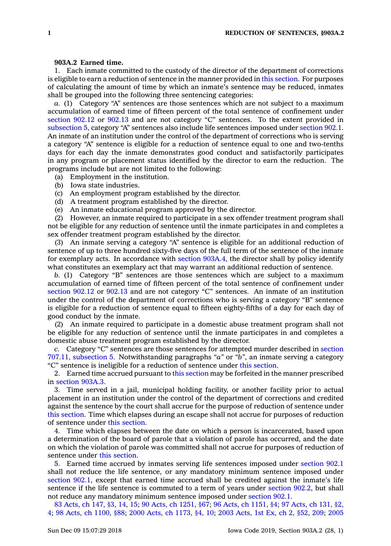## **903A.2 Earned time.**

1. Each inmate committed to the custody of the director of the department of corrections is eligible to earn <sup>a</sup> reduction of sentence in the manner provided in this [section](https://www.legis.iowa.gov/docs/code/903A.2.pdf). For purposes of calculating the amount of time by which an inmate's sentence may be reduced, inmates shall be grouped into the following three sentencing categories:

*a.* (1) Category "A" sentences are those sentences which are not subject to <sup>a</sup> maximum accumulation of earned time of fifteen percent of the total sentence of confinement under [section](https://www.legis.iowa.gov/docs/code/902.12.pdf) 902.12 or [902.13](https://www.legis.iowa.gov/docs/code/902.13.pdf) and are not category "C" sentences. To the extent provided in [subsection](https://www.legis.iowa.gov/docs/code/903A.2.pdf) 5, category "A" sentences also include life sentences imposed under [section](https://www.legis.iowa.gov/docs/code/902.1.pdf) 902.1. An inmate of an institution under the control of the department of corrections who is serving <sup>a</sup> category "A" sentence is eligible for <sup>a</sup> reduction of sentence equal to one and two-tenths days for each day the inmate demonstrates good conduct and satisfactorily participates in any program or placement status identified by the director to earn the reduction. The programs include but are not limited to the following:

- (a) Employment in the institution.
- (b) Iowa state industries.
- (c) An employment program established by the director.
- (d) A treatment program established by the director.
- (e) An inmate educational program approved by the director.

(2) However, an inmate required to participate in <sup>a</sup> sex offender treatment program shall not be eligible for any reduction of sentence until the inmate participates in and completes <sup>a</sup> sex offender treatment program established by the director.

(3) An inmate serving <sup>a</sup> category "A" sentence is eligible for an additional reduction of sentence of up to three hundred sixty-five days of the full term of the sentence of the inmate for exemplary acts. In accordance with section [903A.4](https://www.legis.iowa.gov/docs/code/903A.4.pdf), the director shall by policy identify what constitutes an exemplary act that may warrant an additional reduction of sentence.

*b.* (1) Category "B" sentences are those sentences which are subject to <sup>a</sup> maximum accumulation of earned time of fifteen percent of the total sentence of confinement under [section](https://www.legis.iowa.gov/docs/code/902.12.pdf) 902.12 or [902.13](https://www.legis.iowa.gov/docs/code/902.13.pdf) and are not category "C" sentences. An inmate of an institution under the control of the department of corrections who is serving <sup>a</sup> category "B" sentence is eligible for <sup>a</sup> reduction of sentence equal to fifteen eighty-fifths of <sup>a</sup> day for each day of good conduct by the inmate.

(2) An inmate required to participate in <sup>a</sup> domestic abuse treatment program shall not be eligible for any reduction of sentence until the inmate participates in and completes <sup>a</sup> domestic abuse treatment program established by the director.

*c.* Category "C" sentences are those sentences for attempted murder described in [section](https://www.legis.iowa.gov/docs/code/707.11.pdf) 707.11, [subsection](https://www.legis.iowa.gov/docs/code/707.11.pdf) 5. Notwithstanding paragraphs *"a"* or *"b"*, an inmate serving <sup>a</sup> category "C" sentence is ineligible for <sup>a</sup> reduction of sentence under this [section](https://www.legis.iowa.gov/docs/code/903A.2.pdf).

2. Earned time accrued pursuant to this [section](https://www.legis.iowa.gov/docs/code/903A.2.pdf) may be forfeited in the manner prescribed in [section](https://www.legis.iowa.gov/docs/code/903A.3.pdf) 903A.3.

3. Time served in <sup>a</sup> jail, municipal holding facility, or another facility prior to actual placement in an institution under the control of the department of corrections and credited against the sentence by the court shall accrue for the purpose of reduction of sentence under this [section](https://www.legis.iowa.gov/docs/code/903A.2.pdf). Time which elapses during an escape shall not accrue for purposes of reduction of sentence under this [section](https://www.legis.iowa.gov/docs/code/903A.2.pdf).

4. Time which elapses between the date on which <sup>a</sup> person is incarcerated, based upon <sup>a</sup> determination of the board of parole that <sup>a</sup> violation of parole has occurred, and the date on which the violation of parole was committed shall not accrue for purposes of reduction of sentence under this [section](https://www.legis.iowa.gov/docs/code/903A.2.pdf).

5. Earned time accrued by inmates serving life sentences imposed under [section](https://www.legis.iowa.gov/docs/code/902.1.pdf) 902.1 shall not reduce the life sentence, or any mandatory minimum sentence imposed under [section](https://www.legis.iowa.gov/docs/code/902.1.pdf) 902.1, except that earned time accrued shall be credited against the inmate's life sentence if the life sentence is commuted to <sup>a</sup> term of years under [section](https://www.legis.iowa.gov/docs/code/902.2.pdf) 902.2, but shall not reduce any mandatory minimum sentence imposed under [section](https://www.legis.iowa.gov/docs/code/902.1.pdf) 902.1.

83 [Acts,](https://www.legis.iowa.gov/docs/acts/83/CH0147.pdf) ch 147, §3, 14, 15; 90 Acts, ch [1251,](https://www.legis.iowa.gov/docs/acts/90/CH1251.pdf) §67; 96 Acts, ch [1151,](https://www.legis.iowa.gov/docs/acts/96/CH1151.pdf) §4; 97 [Acts,](https://www.legis.iowa.gov/docs/acts/97/CH0131.pdf) ch 131, §2, [4](https://www.legis.iowa.gov/docs/acts/97/CH0131.pdf); 98 Acts, ch [1100,](https://www.legis.iowa.gov/docs/acts/98/CH1100.pdf) §88; 2000 Acts, ch [1173,](https://www.legis.iowa.gov/docs/acts/2000/CH1173.pdf) §4, 10; 2003 [Acts,](https://www.legis.iowa.gov/docs/acts//CH0000.pdf) 1st Ex, ch 2, §52, 209; [2005](https://www.legis.iowa.gov/docs/acts/2005/CH0158.pdf)